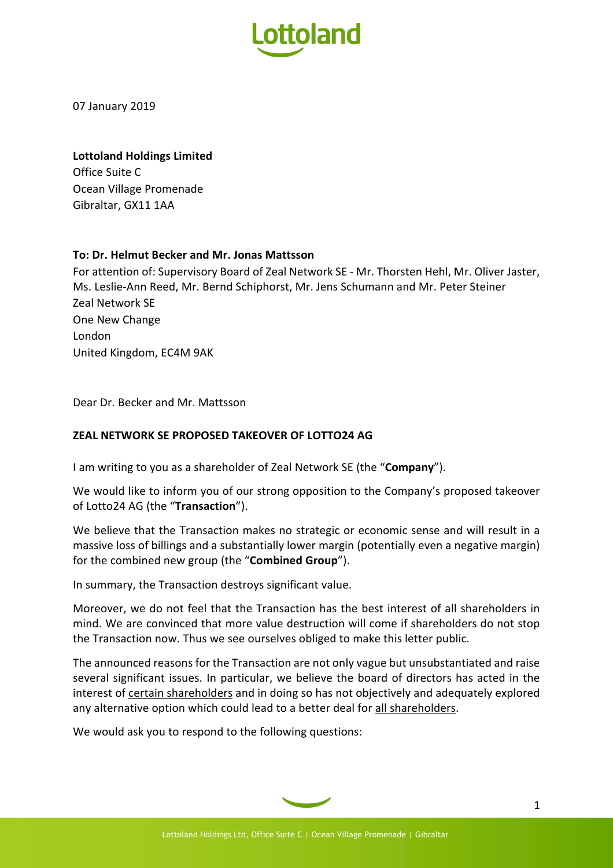

07 January 2019

## **Lottoland Holdings Limited**

Office Suite C Ocean Village Promenade Gibraltar, GX11 1AA

## **To: Dr. Helmut Becker and Mr. Jonas Mattsson**

For attention of: Supervisory Board of Zeal Network SE - Mr. Thorsten Hehl, Mr. Oliver Jaster, Ms. Leslie-Ann Reed, Mr. Bernd Schiphorst, Mr. Jens Schumann and Mr. Peter Steiner Zeal Network SE One New Change London United Kingdom, EC4M 9AK

Dear Dr. Becker and Mr. Mattsson

## **ZEAL NETWORK SE PROPOSED TAKEOVER OF LOTTO24 AG**

I am writing to you as a shareholder of Zeal Network SE (the "**Company**").

We would like to inform you of our strong opposition to the Company's proposed takeover of Lotto24 AG (the "**Transaction**").

We believe that the Transaction makes no strategic or economic sense and will result in a massive loss of billings and a substantially lower margin (potentially even a negative margin) for the combined new group (the "**Combined Group**").

In summary, the Transaction destroys significant value.

Moreover, we do not feel that the Transaction has the best interest of all shareholders in mind. We are convinced that more value destruction will come if shareholders do not stop the Transaction now. Thus we see ourselves obliged to make this letter public.

The announced reasons for the Transaction are not only vague but unsubstantiated and raise several significant issues. In particular, we believe the board of directors has acted in the interest of certain shareholders and in doing so has not objectively and adequately explored any alternative option which could lead to a better deal for all shareholders.

We would ask you to respond to the following questions: